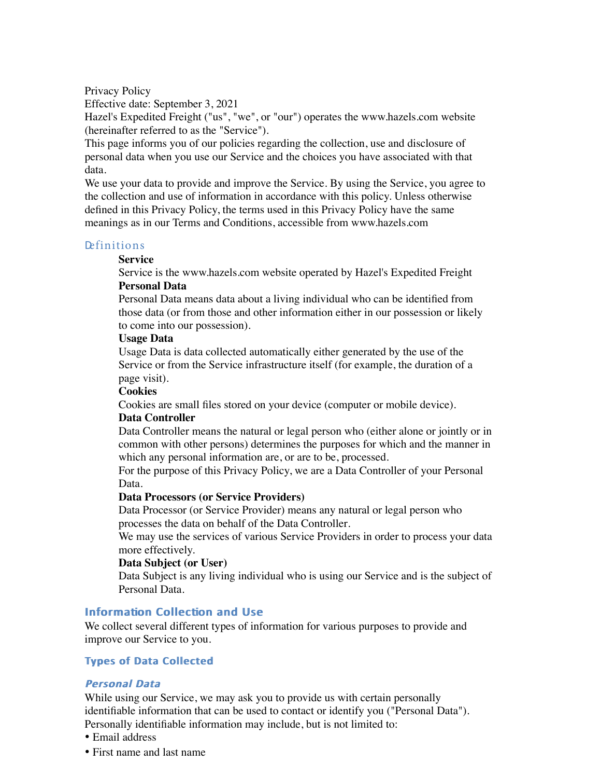Privacy Policy

Effective date: September 3, 2021

Hazel's Expedited Freight ("us", "we", or "our") operates the www.hazels.com website (hereinafter referred to as the "Service").

This page informs you of our policies regarding the collection, use and disclosure of personal data when you use our Service and the choices you have associated with that data.

We use your data to provide and improve the Service. By using the Service, you agree to the collection and use of information in accordance with this policy. Unless otherwise defined in this Privacy Policy, the terms used in this Privacy Policy have the same meanings as in our Terms and Conditions, accessible from www.hazels.com

### **D**efinitions

### **Service**

Service is the www.hazels.com website operated by Hazel's Expedited Freight **Personal Data**

Personal Data means data about a living individual who can be identified from those data (or from those and other information either in our possession or likely to come into our possession).

#### **Usage Data**

Usage Data is data collected automatically either generated by the use of the Service or from the Service infrastructure itself (for example, the duration of a page visit).

#### **Cookies**

Cookies are small files stored on your device (computer or mobile device).

### **Data Controller**

Data Controller means the natural or legal person who (either alone or jointly or in common with other persons) determines the purposes for which and the manner in which any personal information are, or are to be, processed.

For the purpose of this Privacy Policy, we are a Data Controller of your Personal Data.

### **Data Processors (or Service Providers)**

Data Processor (or Service Provider) means any natural or legal person who processes the data on behalf of the Data Controller.

We may use the services of various Service Providers in order to process your data more effectively.

#### **Data Subject (or User)**

Data Subject is any living individual who is using our Service and is the subject of Personal Data.

# **Information Collection and Use**

We collect several different types of information for various purposes to provide and improve our Service to you.

### Types of Data Collected

### Personal Data

While using our Service, we may ask you to provide us with certain personally identifiable information that can be used to contact or identify you ("Personal Data"). Personally identifiable information may include, but is not limited to:

- Email address
- First name and last name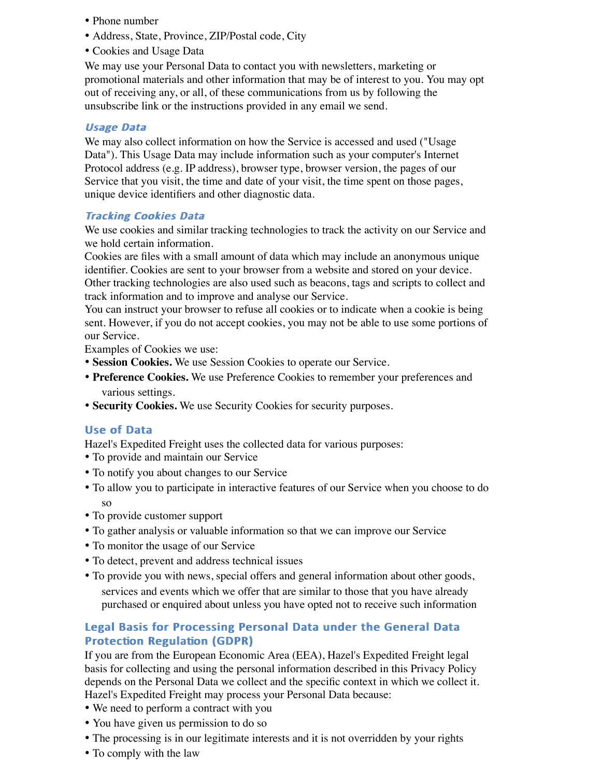- Phone number
- Address, State, Province, ZIP/Postal code, City
- Cookies and Usage Data

We may use your Personal Data to contact you with newsletters, marketing or promotional materials and other information that may be of interest to you. You may opt out of receiving any, or all, of these communications from us by following the unsubscribe link or the instructions provided in any email we send.

### Usage Data

We may also collect information on how the Service is accessed and used ("Usage Data"). This Usage Data may include information such as your computer's Internet Protocol address (e.g. IP address), browser type, browser version, the pages of our Service that you visit, the time and date of your visit, the time spent on those pages, unique device identifiers and other diagnostic data.

### Tracking Cookies Data

We use cookies and similar tracking technologies to track the activity on our Service and we hold certain information.

Cookies are files with a small amount of data which may include an anonymous unique identifier. Cookies are sent to your browser from a website and stored on your device.

Other tracking technologies are also used such as beacons, tags and scripts to collect and track information and to improve and analyse our Service.

You can instruct your browser to refuse all cookies or to indicate when a cookie is being sent. However, if you do not accept cookies, you may not be able to use some portions of our Service.

Examples of Cookies we use:

- **Session Cookies.** We use Session Cookies to operate our Service.
- **Preference Cookies.** We use Preference Cookies to remember your preferences and various settings.
- **Security Cookies.** We use Security Cookies for security purposes.

### Use of Data

Hazel's Expedited Freight uses the collected data for various purposes:

- To provide and maintain our Service
- To notify you about changes to our Service
- To allow you to participate in interactive features of our Service when you choose to do so
- To provide customer support
- To gather analysis or valuable information so that we can improve our Service
- To monitor the usage of our Service
- To detect, prevent and address technical issues
- To provide you with news, special offers and general information about other goods, services and events which we offer that are similar to those that you have already purchased or enquired about unless you have opted not to receive such information

## Legal Basis for Processing Personal Data under the General Data **Protection Regulation (GDPR)**

If you are from the European Economic Area (EEA), Hazel's Expedited Freight legal basis for collecting and using the personal information described in this Privacy Policy depends on the Personal Data we collect and the specific context in which we collect it. Hazel's Expedited Freight may process your Personal Data because:

- We need to perform a contract with you
- You have given us permission to do so
- The processing is in our legitimate interests and it is not overridden by your rights
- To comply with the law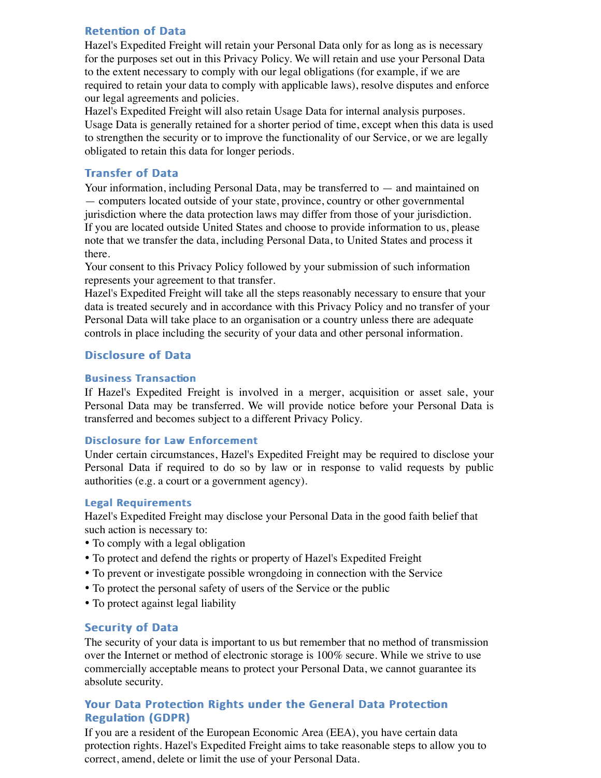## **Retention of Data**

Hazel's Expedited Freight will retain your Personal Data only for as long as is necessary for the purposes set out in this Privacy Policy. We will retain and use your Personal Data to the extent necessary to comply with our legal obligations (for example, if we are required to retain your data to comply with applicable laws), resolve disputes and enforce our legal agreements and policies.

Hazel's Expedited Freight will also retain Usage Data for internal analysis purposes. Usage Data is generally retained for a shorter period of time, except when this data is used to strengthen the security or to improve the functionality of our Service, or we are legally obligated to retain this data for longer periods.

# **Transfer of Data**

Your information, including Personal Data, may be transferred to  $-$  and maintained on — computers located outside of your state, province, country or other governmental jurisdiction where the data protection laws may differ from those of your jurisdiction. If you are located outside United States and choose to provide information to us, please note that we transfer the data, including Personal Data, to United States and process it there.

Your consent to this Privacy Policy followed by your submission of such information represents your agreement to that transfer.

Hazel's Expedited Freight will take all the steps reasonably necessary to ensure that your data is treated securely and in accordance with this Privacy Policy and no transfer of your Personal Data will take place to an organisation or a country unless there are adequate controls in place including the security of your data and other personal information.

## Disclosure of Data

## **Business Transaction**

If Hazel's Expedited Freight is involved in a merger, acquisition or asset sale, your Personal Data may be transferred. We will provide notice before your Personal Data is transferred and becomes subject to a different Privacy Policy.

## **Disclosure for Law Enforcement**

Under certain circumstances, Hazel's Expedited Freight may be required to disclose your Personal Data if required to do so by law or in response to valid requests by public authorities (e.g. a court or a government agency).

### **Legal Requirements**

Hazel's Expedited Freight may disclose your Personal Data in the good faith belief that such action is necessary to:

- To comply with a legal obligation
- To protect and defend the rights or property of Hazel's Expedited Freight
- To prevent or investigate possible wrongdoing in connection with the Service
- To protect the personal safety of users of the Service or the public
- To protect against legal liability

## **Security of Data**

The security of your data is important to us but remember that no method of transmission over the Internet or method of electronic storage is 100% secure. While we strive to use commercially acceptable means to protect your Personal Data, we cannot guarantee its absolute security.

# Your Data Protection Rights under the General Data Protection **Regulation (GDPR)**

If you are a resident of the European Economic Area (EEA), you have certain data protection rights. Hazel's Expedited Freight aims to take reasonable steps to allow you to correct, amend, delete or limit the use of your Personal Data.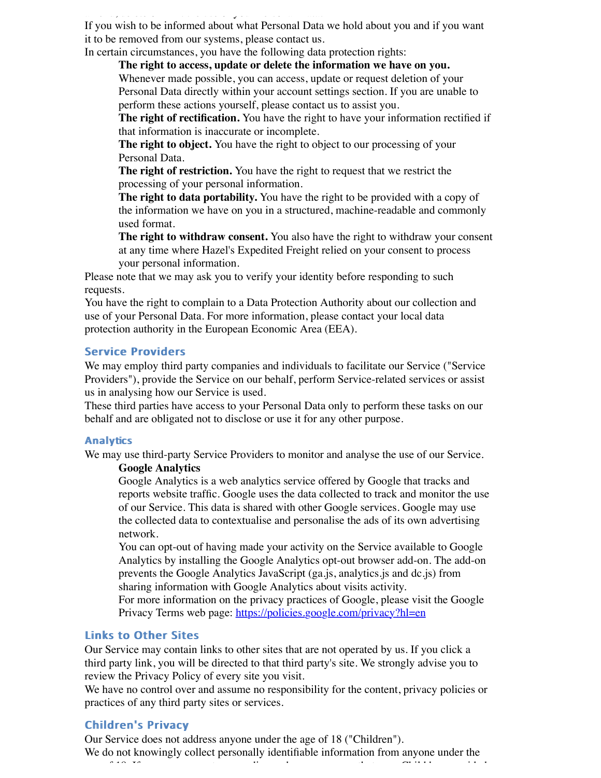amend, delete or limit the use of your Personal Data.

If you wish to be informed about what Personal Data we hold about you and if you want it to be removed from our systems, please contact us.

In certain circumstances, you have the following data protection rights:

**The right to access, update or delete the information we have on you.**

Whenever made possible, you can access, update or request deletion of your Personal Data directly within your account settings section. If you are unable to perform these actions yourself, please contact us to assist you.

**The right of rectification.** You have the right to have your information rectified if that information is inaccurate or incomplete.

**The right to object.** You have the right to object to our processing of your Personal Data.

**The right of restriction.** You have the right to request that we restrict the processing of your personal information.

**The right to data portability.** You have the right to be provided with a copy of the information we have on you in a structured, machine-readable and commonly used format.

**The right to withdraw consent.** You also have the right to withdraw your consent at any time where Hazel's Expedited Freight relied on your consent to process your personal information.

Please note that we may ask you to verify your identity before responding to such requests.

You have the right to complain to a Data Protection Authority about our collection and use of your Personal Data. For more information, please contact your local data protection authority in the European Economic Area (EEA).

## Service Providers

We may employ third party companies and individuals to facilitate our Service ("Service Providers"), provide the Service on our behalf, perform Service-related services or assist us in analysing how our Service is used.

These third parties have access to your Personal Data only to perform these tasks on our behalf and are obligated not to disclose or use it for any other purpose.

### **Analytics**

We may use third-party Service Providers to monitor and analyse the use of our Service.

**Google Analytics**

Google Analytics is a web analytics service offered by Google that tracks and reports website traffic. Google uses the data collected to track and monitor the use of our Service. This data is shared with other Google services. Google may use the collected data to contextualise and personalise the ads of its own advertising network.

You can opt-out of having made your activity on the Service available to Google Analytics by installing the Google Analytics opt-out browser add-on. The add-on prevents the Google Analytics JavaScript (ga.js, analytics.js and dc.js) from sharing information with Google Analytics about visits activity.

For more information on the privacy practices of Google, please visit the Google Privacy Terms web page: https://policies.google.com/privacy?hl=en

## Links to Other Sites

Our Service may contain links to other sites that are not operated by us. If you click a third party link, you will be directed to that third party's site. We strongly advise you to review the Privacy Policy of every site you visit.

We have no control over and assume no responsibility for the content, privacy policies or practices of any third party sites or services.

## Children's Privacy

Our Service does not address anyone under the age of 18 ("Children"). We do not knowingly collect personally identifiable information from anyone under the age of 18. If you are a parent or guardian and you are aware that your Child has provided